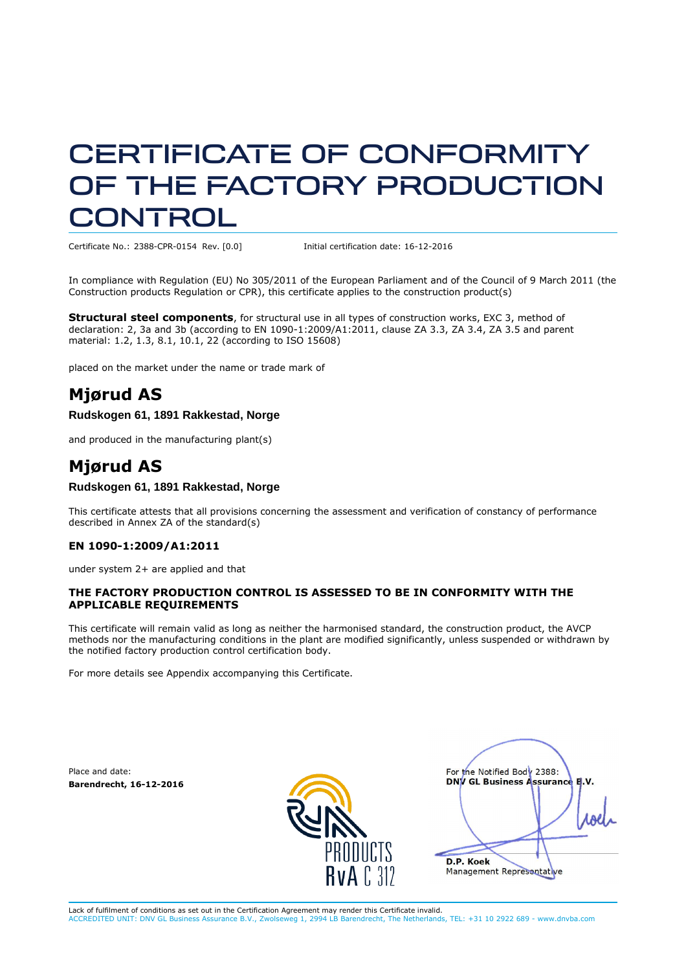# CERTIFICATE OF CONFORMITY OF THE FACTORY PRODUCTION CONTROL

Certificate No.: 2388-CPR-0154 Rev. [0.0] Initial certification date: 16-12-2016

In compliance with Regulation (EU) No 305/2011 of the European Parliament and of the Council of 9 March 2011 (the Construction products Regulation or CPR), this certificate applies to the construction product(s)

**Structural steel components**, for structural use in all types of construction works, EXC 3, method of declaration: 2, 3a and 3b (according to EN 1090-1:2009/A1:2011, clause ZA 3.3, ZA 3.4, ZA 3.5 and parent material: 1.2, 1.3, 8.1, 10.1, 22 (according to ISO 15608)

placed on the market under the name or trade mark of

### **Mjørud AS**

#### **Rudskogen 61, 1891 Rakkestad, Norge**

and produced in the manufacturing plant(s)

### **Mjørud AS**

#### **Rudskogen 61, 1891 Rakkestad, Norge**

This certificate attests that all provisions concerning the assessment and verification of constancy of performance described in Annex ZA of the standard(s)

#### **EN 1090-1:2009/A1:2011**

under system 2+ are applied and that

#### **THE FACTORY PRODUCTION CONTROL IS ASSESSED TO BE IN CONFORMITY WITH THE APPLICABLE REQUIREMENTS**

This certificate will remain valid as long as neither the harmonised standard, the construction product, the AVCP methods nor the manufacturing conditions in the plant are modified significantly, unless suspended or withdrawn by the notified factory production control certification body.

For more details see Appendix accompanying this Certificate.

Place and date: **Barendrecht, 16-12-2016**



For the Notified Body 2388: **DNV GL Business Assurance B.V.**   $\blacksquare$ **D.P. Koek** Management Representative

Lack of fulfilment of conditions as set out in the Certification Agreement may render this Certificate invalid.<br>ACCREDITED UNIT: DNV GL Business Assurance B.V., Zwolseweg 1, 2994 LB Barendrecht, The Netherlands ACCREDITED UNIT: DNV GL Business Assurance B.V., Zwolseweg 1, 2994 LB Barendrecht, The Netherlands, TEL: +31 10 2922 689 - www.dnvba.com